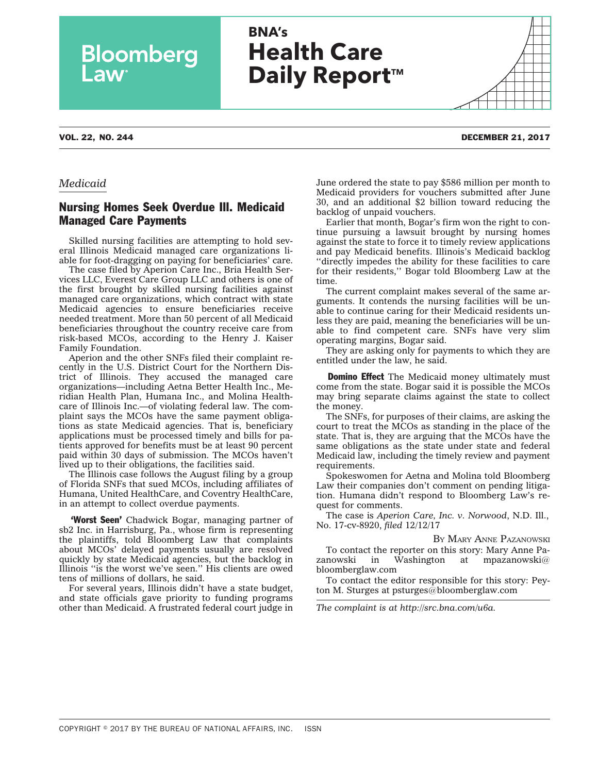# **BNA's Health Care Daily Report™**

### VOL. 22, NO. 244 DECEMBER 21, 2017

**Bloomberg** 

### *Medicaid*

## Nursing Homes Seek Overdue Ill. Medicaid Managed Care Payments

Skilled nursing facilities are attempting to hold several Illinois Medicaid managed care organizations liable for foot-dragging on paying for beneficiaries' care.

The case filed by Aperion Care Inc., Bria Health Services LLC, Everest Care Group LLC and others is one of the first brought by skilled nursing facilities against managed care organizations, which contract with state Medicaid agencies to ensure beneficiaries receive needed treatment. More than 50 percent of all Medicaid beneficiaries throughout the country receive care from risk-based MCOs, according to the Henry J. Kaiser Family Foundation.

Aperion and the other SNFs filed their complaint recently in the U.S. District Court for the Northern District of Illinois. They accused the managed care organizations—including Aetna Better Health Inc., Meridian Health Plan, Humana Inc., and Molina Healthcare of Illinois Inc.—of violating federal law. The complaint says the MCOs have the same payment obligations as state Medicaid agencies. That is, beneficiary applications must be processed timely and bills for patients approved for benefits must be at least 90 percent paid within 30 days of submission. The MCOs haven't lived up to their obligations, the facilities said.

The Illinois case follows the August [filing](http://src.bna.com/rmu) by a group of Florida SNFs that sued MCOs, including affiliates of Humana, United HealthCare, and Coventry HealthCare, in an attempt to collect overdue payments.

**'Worst Seen'** Chadwick Bogar, managing partner of sb2 Inc. in Harrisburg, Pa., whose firm is representing the plaintiffs, told Bloomberg Law that complaints about MCOs' delayed payments usually are resolved quickly by state Medicaid agencies, but the backlog in Illinois ''is the worst we've seen.'' His clients are owed tens of millions of dollars, he said.

For several years, Illinois didn't have a state budget, and state officials gave priority to funding programs other than Medicaid. A frustrated federal court judge in June [ordered](http://src.bna.com/qtz) the state to pay \$586 million per month to Medicaid providers for vouchers submitted after June 30, and an additional \$2 billion toward reducing the backlog of unpaid vouchers.

Earlier that month, Bogar's firm [won](http://src.bna.com/pIs) the right to continue pursuing a lawsuit brought by nursing homes against the state to force it to timely review applications and pay Medicaid benefits. Illinois's Medicaid backlog ''directly impedes the ability for these facilities to care for their residents,'' Bogar told Bloomberg Law at the time.

The current complaint makes several of the same arguments. It contends the nursing facilities will be unable to continue caring for their Medicaid residents unless they are paid, meaning the beneficiaries will be unable to find competent care. SNFs have very slim operating margins, Bogar said.

They are asking only for payments to which they are entitled under the law, he said.

**Domino Effect** The Medicaid money ultimately must come from the state. Bogar said it is possible the MCOs may bring separate claims against the state to collect the money.

The SNFs, for purposes of their claims, are asking the court to treat the MCOs as standing in the place of the state. That is, they are arguing that the MCOs have the same obligations as the state under state and federal Medicaid law, including the timely review and payment requirements.

Spokeswomen for Aetna and Molina told Bloomberg Law their companies don't comment on pending litigation. Humana didn't respond to Bloomberg Law's request for comments.

The case is *Aperion Care, Inc. v. Norwood*, N.D. Ill., No. 17-cv-8920, *filed* 12/12/17

BY MARY ANNE [PAZANOWSKI](mailto:mpazanowski@bloomberglaw.com)

To contact the reporter on this story: Mary Anne Pa-<br>zanowski in Washington at mpazanowski $\omega$ in Washington at mpazanowski $@$ [bloomberglaw.com](mailto:mpazanowski@bloomberglaw.com)

To contact the editor responsible for this story: Peyton M. Sturges at [psturges@bloomberglaw.com](mailto:psturges@bloomberglaw.com)

*The complaint is at [http://src.bna.com/u6a.](http://src.bna.com/u6a)*